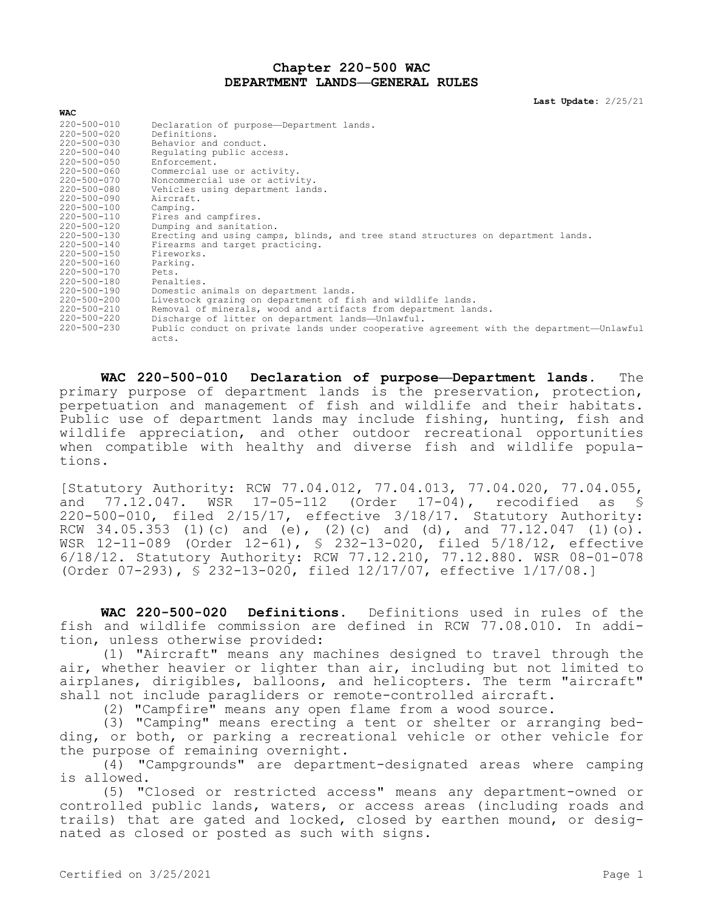## **Chapter 220-500 WAC DEPARTMENT LANDS—GENERAL RULES**

**Last Update:** 2/25/21

| <b>WAC</b>        |                                                                                                   |
|-------------------|---------------------------------------------------------------------------------------------------|
| 220-500-010       | Declaration of purpose-Department lands.                                                          |
| $220 - 500 - 020$ | Definitions.                                                                                      |
| 220-500-030       | Behavior and conduct.                                                                             |
| $220 - 500 - 040$ | Requlating public access.                                                                         |
| $220 - 500 - 050$ | Enforcement.                                                                                      |
| 220-500-060       | Commercial use or activity.                                                                       |
| 220-500-070       | Noncommercial use or activity.                                                                    |
| 220-500-080       | Vehicles using department lands.                                                                  |
| 220-500-090       | Aircraft.                                                                                         |
| 220-500-100       | Camping.                                                                                          |
| 220-500-110       | Fires and campfires.                                                                              |
| 220-500-120       | Dumping and sanitation.                                                                           |
| 220-500-130       | Erecting and using camps, blinds, and tree stand structures on department lands.                  |
| 220-500-140       | Firearms and target practicing.                                                                   |
| 220-500-150       | Fireworks.                                                                                        |
| 220-500-160       | Parking.                                                                                          |
| 220-500-170       | Pets.                                                                                             |
| 220-500-180       | Penalties.                                                                                        |
| 220-500-190       | Domestic animals on department lands.                                                             |
| 220-500-200       | Livestock grazing on department of fish and wildlife lands.                                       |
| 220-500-210       | Removal of minerals, wood and artifacts from department lands.                                    |
| 220-500-220       | Discharge of litter on department lands-Unlawful.                                                 |
| $220 - 500 - 230$ | Public conduct on private lands under cooperative agreement with the department—Unlawful<br>acts. |

**WAC 220-500-010 Declaration of purpose—Department lands.** The primary purpose of department lands is the preservation, protection, perpetuation and management of fish and wildlife and their habitats. Public use of department lands may include fishing, hunting, fish and wildlife appreciation, and other outdoor recreational opportunities when compatible with healthy and diverse fish and wildlife populations.

[Statutory Authority: RCW 77.04.012, 77.04.013, 77.04.020, 77.04.055, and 77.12.047. WSR 17-05-112 (Order 17-04), recodified as § 220-500-010, filed 2/15/17, effective 3/18/17. Statutory Authority: RCW 34.05.353 (1)(c) and (e), (2)(c) and (d), and  $77.12.047$  (1)(o). WSR 12-11-089 (Order 12-61), § 232-13-020, filed 5/18/12, effective 6/18/12. Statutory Authority: RCW 77.12.210, 77.12.880. WSR 08-01-078 (Order 07-293), § 232-13-020, filed 12/17/07, effective 1/17/08.]

**WAC 220-500-020 Definitions.** Definitions used in rules of the fish and wildlife commission are defined in RCW 77.08.010. In addition, unless otherwise provided:

(1) "Aircraft" means any machines designed to travel through the air, whether heavier or lighter than air, including but not limited to airplanes, dirigibles, balloons, and helicopters. The term "aircraft" shall not include paragliders or remote-controlled aircraft.

(2) "Campfire" means any open flame from a wood source.

(3) "Camping" means erecting a tent or shelter or arranging bedding, or both, or parking a recreational vehicle or other vehicle for the purpose of remaining overnight.

(4) "Campgrounds" are department-designated areas where camping is allowed.

(5) "Closed or restricted access" means any department-owned or controlled public lands, waters, or access areas (including roads and trails) that are gated and locked, closed by earthen mound, or designated as closed or posted as such with signs.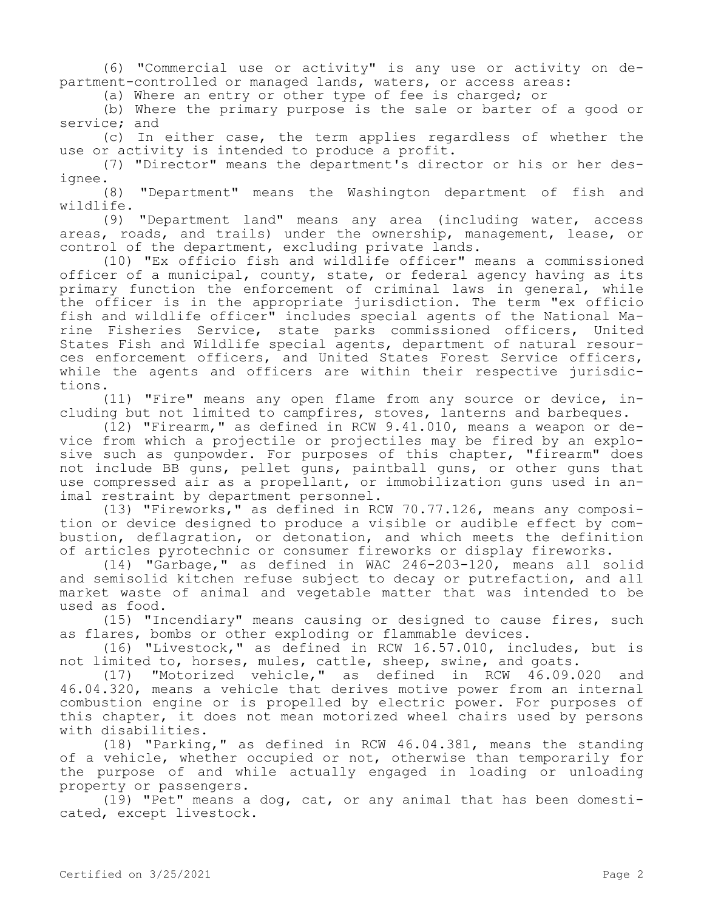(6) "Commercial use or activity" is any use or activity on department-controlled or managed lands, waters, or access areas:

(a) Where an entry or other type of fee is charged; or

(b) Where the primary purpose is the sale or barter of a good or service; and

(c) In either case, the term applies regardless of whether the use or activity is intended to produce a profit.

(7) "Director" means the department's director or his or her designee.

(8) "Department" means the Washington department of fish and wildlife.

(9) "Department land" means any area (including water, access areas, roads, and trails) under the ownership, management, lease, or control of the department, excluding private lands.

(10) "Ex officio fish and wildlife officer" means a commissioned officer of a municipal, county, state, or federal agency having as its primary function the enforcement of criminal laws in general, while the officer is in the appropriate jurisdiction. The term "ex officio fish and wildlife officer" includes special agents of the National Marine Fisheries Service, state parks commissioned officers, United States Fish and Wildlife special agents, department of natural resources enforcement officers, and United States Forest Service officers, while the agents and officers are within their respective jurisdictions.

(11) "Fire" means any open flame from any source or device, including but not limited to campfires, stoves, lanterns and barbeques.

(12) "Firearm," as defined in RCW 9.41.010, means a weapon or device from which a projectile or projectiles may be fired by an explosive such as gunpowder. For purposes of this chapter, "firearm" does not include BB guns, pellet guns, paintball guns, or other guns that use compressed air as a propellant, or immobilization guns used in animal restraint by department personnel.

(13) "Fireworks," as defined in RCW 70.77.126, means any composition or device designed to produce a visible or audible effect by combustion, deflagration, or detonation, and which meets the definition of articles pyrotechnic or consumer fireworks or display fireworks.

(14) "Garbage," as defined in WAC 246-203-120, means all solid and semisolid kitchen refuse subject to decay or putrefaction, and all market waste of animal and vegetable matter that was intended to be used as food.

(15) "Incendiary" means causing or designed to cause fires, such as flares, bombs or other exploding or flammable devices.

(16) "Livestock," as defined in RCW 16.57.010, includes, but is not limited to, horses, mules, cattle, sheep, swine, and goats.

(17) "Motorized vehicle," as defined in RCW 46.09.020 and 46.04.320, means a vehicle that derives motive power from an internal combustion engine or is propelled by electric power. For purposes of this chapter, it does not mean motorized wheel chairs used by persons with disabilities.

(18) "Parking," as defined in RCW 46.04.381, means the standing of a vehicle, whether occupied or not, otherwise than temporarily for the purpose of and while actually engaged in loading or unloading property or passengers.

(19) "Pet" means a dog, cat, or any animal that has been domesticated, except livestock.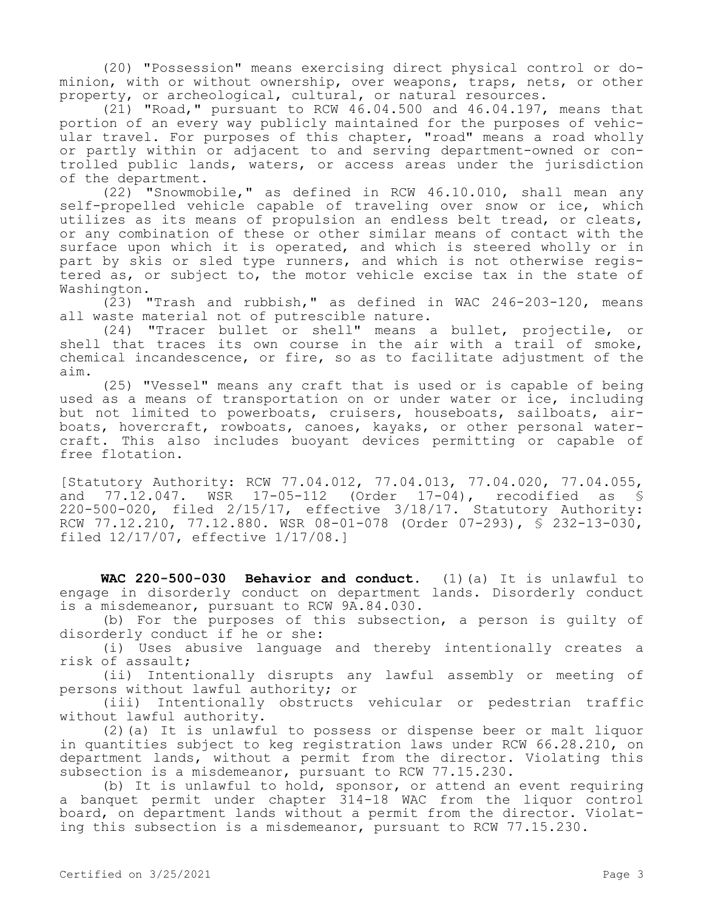(20) "Possession" means exercising direct physical control or dominion, with or without ownership, over weapons, traps, nets, or other property, or archeological, cultural, or natural resources.

 $(2\bar{1})$  "Road," pursuant to RCW 46.04.500 and 46.04.197, means that portion of an every way publicly maintained for the purposes of vehicular travel. For purposes of this chapter, "road" means a road wholly or partly within or adjacent to and serving department-owned or controlled public lands, waters, or access areas under the jurisdiction of the department.

(22) "Snowmobile," as defined in RCW 46.10.010, shall mean any self-propelled vehicle capable of traveling over snow or ice, which utilizes as its means of propulsion an endless belt tread, or cleats, or any combination of these or other similar means of contact with the surface upon which it is operated, and which is steered wholly or in part by skis or sled type runners, and which is not otherwise registered as, or subject to, the motor vehicle excise tax in the state of Washington.

(23) "Trash and rubbish," as defined in WAC 246-203-120, means all waste material not of putrescible nature.

(24) "Tracer bullet or shell" means a bullet, projectile, or shell that traces its own course in the air with a trail of smoke, chemical incandescence, or fire, so as to facilitate adjustment of the aim.

(25) "Vessel" means any craft that is used or is capable of being used as a means of transportation on or under water or ice, including but not limited to powerboats, cruisers, houseboats, sailboats, airboats, hovercraft, rowboats, canoes, kayaks, or other personal watercraft. This also includes buoyant devices permitting or capable of free flotation.

[Statutory Authority: RCW 77.04.012, 77.04.013, 77.04.020, 77.04.055, and 77.12.047. WSR 17-05-112 (Order 17-04), recodified as § 220-500-020, filed 2/15/17, effective 3/18/17. Statutory Authority: RCW 77.12.210, 77.12.880. WSR 08-01-078 (Order 07-293), § 232-13-030, filed 12/17/07, effective 1/17/08.]

**WAC 220-500-030 Behavior and conduct.** (1)(a) It is unlawful to engage in disorderly conduct on department lands. Disorderly conduct is a misdemeanor, pursuant to RCW 9A.84.030.

(b) For the purposes of this subsection, a person is guilty of disorderly conduct if he or she:

(i) Uses abusive language and thereby intentionally creates a risk of assault;

(ii) Intentionally disrupts any lawful assembly or meeting of persons without lawful authority; or

(iii) Intentionally obstructs vehicular or pedestrian traffic without lawful authority.

(2)(a) It is unlawful to possess or dispense beer or malt liquor in quantities subject to keg registration laws under RCW 66.28.210, on department lands, without a permit from the director. Violating this subsection is a misdemeanor, pursuant to RCW 77.15.230.

(b) It is unlawful to hold, sponsor, or attend an event requiring a banquet permit under chapter 314-18 WAC from the liquor control board, on department lands without a permit from the director. Violating this subsection is a misdemeanor, pursuant to RCW 77.15.230.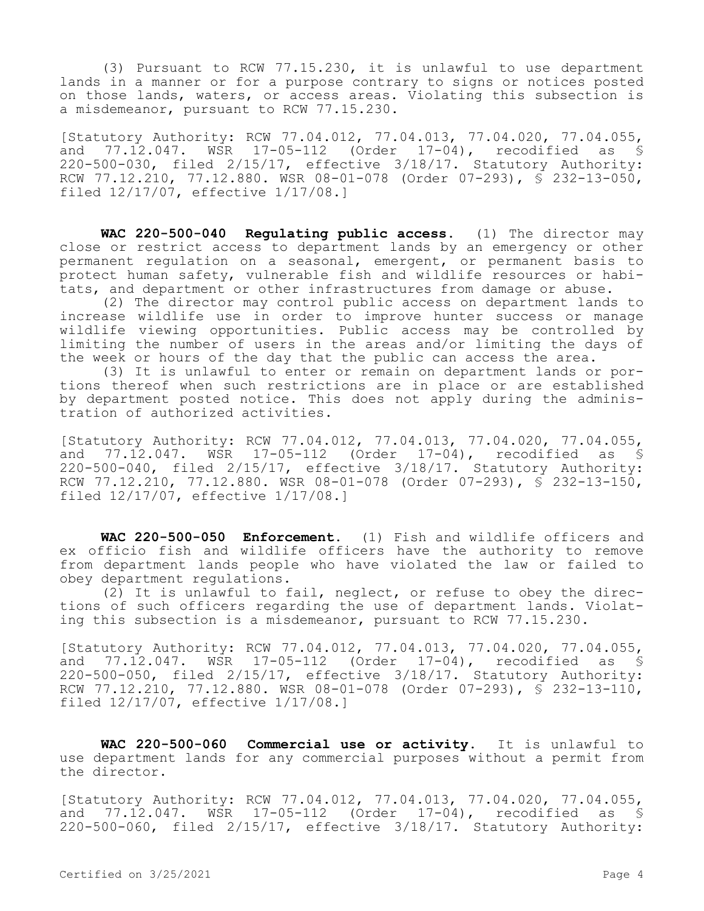(3) Pursuant to RCW 77.15.230, it is unlawful to use department lands in a manner or for a purpose contrary to signs or notices posted on those lands, waters, or access areas. Violating this subsection is a misdemeanor, pursuant to RCW 77.15.230.

[Statutory Authority: RCW 77.04.012, 77.04.013, 77.04.020, 77.04.055, and 77.12.047. WSR 17-05-112 (Order 17-04), recodified as § 220-500-030, filed 2/15/17, effective 3/18/17. Statutory Authority: RCW 77.12.210, 77.12.880. WSR 08-01-078 (Order 07-293), § 232-13-050, filed 12/17/07, effective 1/17/08.]

**WAC 220-500-040 Regulating public access.** (1) The director may close or restrict access to department lands by an emergency or other permanent regulation on a seasonal, emergent, or permanent basis to protect human safety, vulnerable fish and wildlife resources or habitats, and department or other infrastructures from damage or abuse.

(2) The director may control public access on department lands to increase wildlife use in order to improve hunter success or manage wildlife viewing opportunities. Public access may be controlled by limiting the number of users in the areas and/or limiting the days of the week or hours of the day that the public can access the area.

(3) It is unlawful to enter or remain on department lands or portions thereof when such restrictions are in place or are established by department posted notice. This does not apply during the administration of authorized activities.

[Statutory Authority: RCW 77.04.012, 77.04.013, 77.04.020, 77.04.055, and 77.12.047. WSR 17-05-112 (Order 17-04), recodified as \$ 220-500-040, filed 2/15/17, effective 3/18/17. Statutory Authority: RCW 77.12.210, 77.12.880. WSR 08-01-078 (Order 07-293), § 232-13-150, filed 12/17/07, effective 1/17/08.]

**WAC 220-500-050 Enforcement.** (1) Fish and wildlife officers and ex officio fish and wildlife officers have the authority to remove from department lands people who have violated the law or failed to obey department regulations.

(2) It is unlawful to fail, neglect, or refuse to obey the directions of such officers regarding the use of department lands. Violating this subsection is a misdemeanor, pursuant to RCW 77.15.230.

[Statutory Authority: RCW 77.04.012, 77.04.013, 77.04.020, 77.04.055, and 77.12.047. WSR 17-05-112 (Order 17-04), recodified as § 220-500-050, filed 2/15/17, effective 3/18/17. Statutory Authority: RCW 77.12.210, 77.12.880. WSR 08-01-078 (Order 07-293), § 232-13-110, filed 12/17/07, effective 1/17/08.]

**WAC 220-500-060 Commercial use or activity.** It is unlawful to use department lands for any commercial purposes without a permit from the director.

[Statutory Authority: RCW 77.04.012, 77.04.013, 77.04.020, 77.04.055, and 77.12.047. WSR 17-05-112 (Order 17-04), recodified as § 220-500-060, filed 2/15/17, effective 3/18/17. Statutory Authority: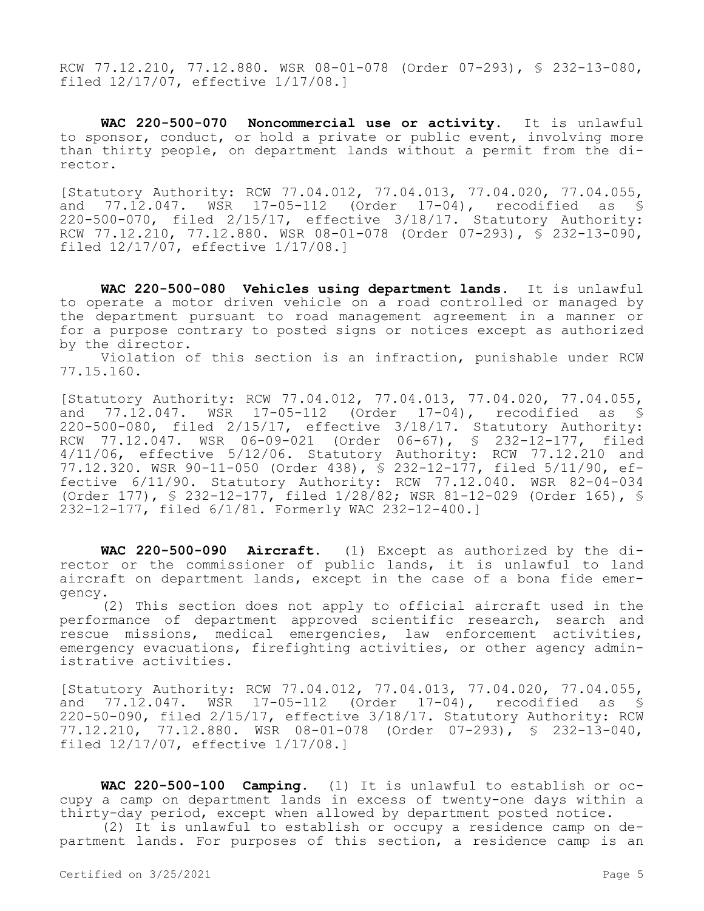RCW 77.12.210, 77.12.880. WSR 08-01-078 (Order 07-293), § 232-13-080, filed 12/17/07, effective 1/17/08.]

**WAC 220-500-070 Noncommercial use or activity.** It is unlawful to sponsor, conduct, or hold a private or public event, involving more than thirty people, on department lands without a permit from the director.

[Statutory Authority: RCW 77.04.012, 77.04.013, 77.04.020, 77.04.055, and 77.12.047. WSR 17-05-112 (Order 17-04), recodified as § 220-500-070, filed 2/15/17, effective 3/18/17. Statutory Authority: RCW 77.12.210, 77.12.880. WSR 08-01-078 (Order 07-293), § 232-13-090, filed 12/17/07, effective 1/17/08.]

**WAC 220-500-080 Vehicles using department lands.** It is unlawful to operate a motor driven vehicle on a road controlled or managed by the department pursuant to road management agreement in a manner or for a purpose contrary to posted signs or notices except as authorized by the director.

Violation of this section is an infraction, punishable under RCW 77.15.160.

[Statutory Authority: RCW 77.04.012, 77.04.013, 77.04.020, 77.04.055, and 77.12.047. WSR 17-05-112 (Order 17-04), recodified as § 220-500-080, filed 2/15/17, effective 3/18/17. Statutory Authority: RCW 77.12.047. WSR 06-09-021 (Order 06-67), § 232-12-177, filed 4/11/06, effective 5/12/06. Statutory Authority: RCW 77.12.210 and 77.12.320. WSR 90-11-050 (Order 438), § 232-12-177, filed 5/11/90, effective 6/11/90. Statutory Authority: RCW 77.12.040. WSR 82-04-034 (Order 177), § 232-12-177, filed 1/28/82; WSR 81-12-029 (Order 165), § 232-12-177, filed 6/1/81. Formerly WAC 232-12-400.]

**WAC 220-500-090 Aircraft.** (1) Except as authorized by the director or the commissioner of public lands, it is unlawful to land aircraft on department lands, except in the case of a bona fide emergency.

(2) This section does not apply to official aircraft used in the performance of department approved scientific research, search and rescue missions, medical emergencies, law enforcement activities, emergency evacuations, firefighting activities, or other agency administrative activities.

[Statutory Authority: RCW 77.04.012, 77.04.013, 77.04.020, 77.04.055, and 77.12.047. WSR 17-05-112 (Order 17-04), recodified as § 220-50-090, filed 2/15/17, effective 3/18/17. Statutory Authority: RCW 77.12.210, 77.12.880. WSR 08-01-078 (Order 07-293), § 232-13-040, filed 12/17/07, effective 1/17/08.]

**WAC 220-500-100 Camping.** (1) It is unlawful to establish or occupy a camp on department lands in excess of twenty-one days within a thirty-day period, except when allowed by department posted notice.

(2) It is unlawful to establish or occupy a residence camp on department lands. For purposes of this section, a residence camp is an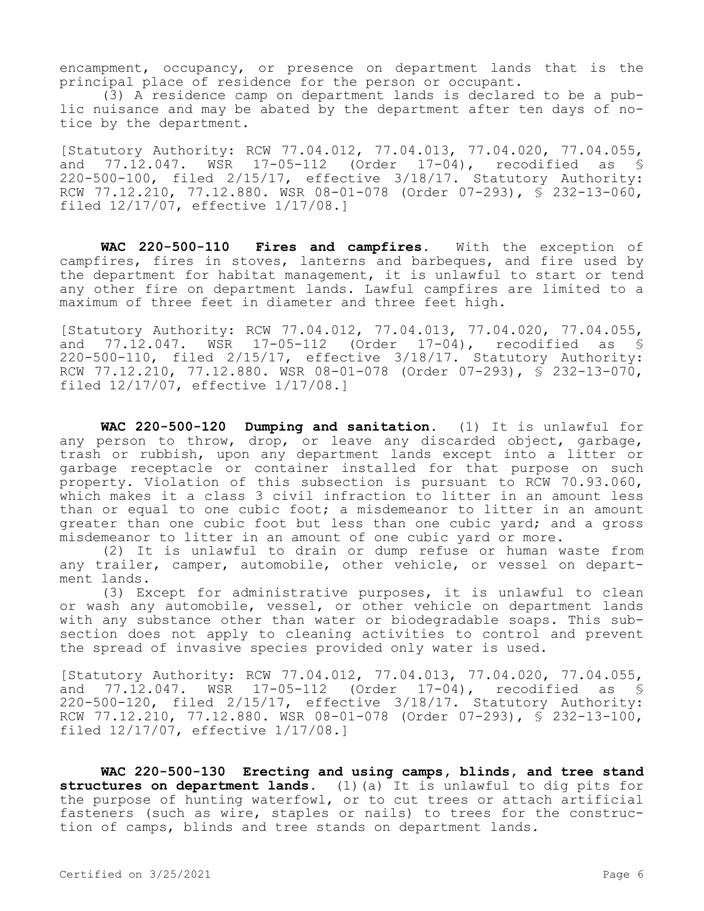encampment, occupancy, or presence on department lands that is the principal place of residence for the person or occupant.

(3) A residence camp on department lands is declared to be a public nuisance and may be abated by the department after ten days of notice by the department.

[Statutory Authority: RCW 77.04.012, 77.04.013, 77.04.020, 77.04.055,<br>and 77.12.047. WSR 17-05-112 (Order 17-04), recodified as \$ and  $77.\overline{12}.047$ . WSR  $17-05-112$  (Order  $17-04$ ), 220-500-100, filed 2/15/17, effective 3/18/17. Statutory Authority: RCW 77.12.210, 77.12.880. WSR 08-01-078 (Order 07-293), § 232-13-060, filed 12/17/07, effective 1/17/08.]

**WAC 220-500-110 Fires and campfires.** With the exception of campfires, fires in stoves, lanterns and barbeques, and fire used by the department for habitat management, it is unlawful to start or tend any other fire on department lands. Lawful campfires are limited to a maximum of three feet in diameter and three feet high.

[Statutory Authority: RCW 77.04.012, 77.04.013, 77.04.020, 77.04.055, and 77.12.047. WSR 17-05-112 (Order 17-04), recodified as § 220-500-110, filed 2/15/17, effective 3/18/17. Statutory Authority: RCW 77.12.210, 77.12.880. WSR 08-01-078 (Order 07-293), § 232-13-070, filed 12/17/07, effective 1/17/08.]

**WAC 220-500-120 Dumping and sanitation.** (1) It is unlawful for any person to throw, drop, or leave any discarded object, garbage, trash or rubbish, upon any department lands except into a litter or garbage receptacle or container installed for that purpose on such property. Violation of this subsection is pursuant to RCW 70.93.060, which makes it a class 3 civil infraction to litter in an amount less than or equal to one cubic foot; a misdemeanor to litter in an amount greater than one cubic foot but less than one cubic yard; and a gross misdemeanor to litter in an amount of one cubic yard or more.

(2) It is unlawful to drain or dump refuse or human waste from any trailer, camper, automobile, other vehicle, or vessel on department lands.

(3) Except for administrative purposes, it is unlawful to clean or wash any automobile, vessel, or other vehicle on department lands with any substance other than water or biodegradable soaps. This subsection does not apply to cleaning activities to control and prevent the spread of invasive species provided only water is used.

[Statutory Authority: RCW 77.04.012, 77.04.013, 77.04.020, 77.04.055, and 77.12.047. WSR 17-05-112 (Order 17-04), recodified as \$ 220-500-120, filed 2/15/17, effective 3/18/17. Statutory Authority: RCW 77.12.210, 77.12.880. WSR 08-01-078 (Order 07-293),  $\overline{S}$  232-13-100, filed 12/17/07, effective 1/17/08.]

**WAC 220-500-130 Erecting and using camps, blinds, and tree stand structures on department lands.** (1)(a) It is unlawful to dig pits for the purpose of hunting waterfowl, or to cut trees or attach artificial fasteners (such as wire, staples or nails) to trees for the construction of camps, blinds and tree stands on department lands.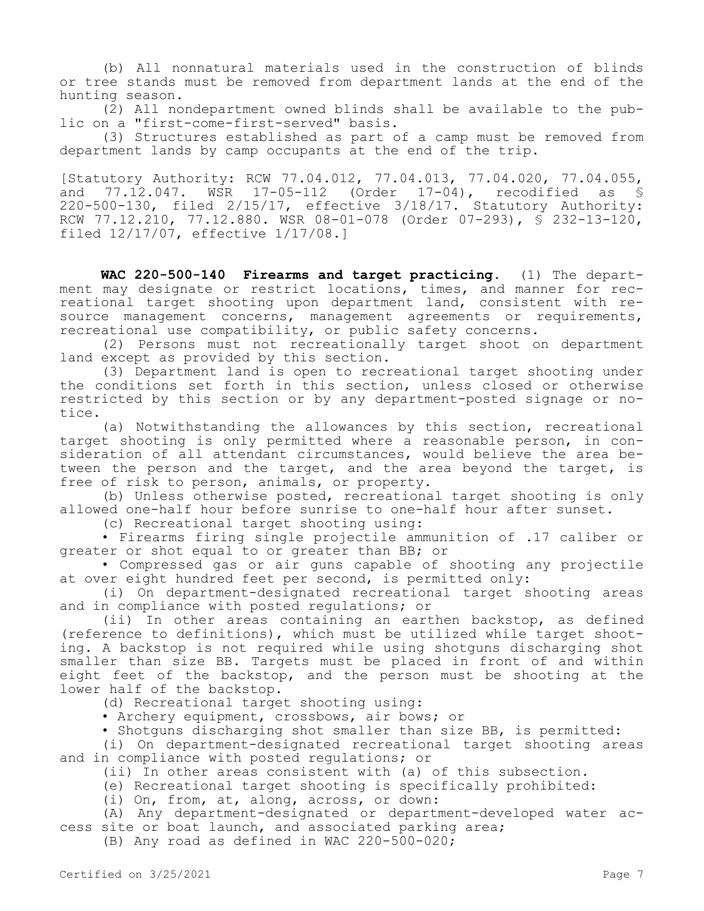(b) All nonnatural materials used in the construction of blinds or tree stands must be removed from department lands at the end of the hunting season.

(2) All nondepartment owned blinds shall be available to the public on a "first-come-first-served" basis.

(3) Structures established as part of a camp must be removed from department lands by camp occupants at the end of the trip.

[Statutory Authority: RCW 77.04.012, 77.04.013, 77.04.020, 77.04.055, and 77.12.047. WSR 17-05-112 (Order 17-04), recodified as § 220-500-130, filed 2/15/17, effective 3/18/17. Statutory Authority: RCW 77.12.210, 77.12.880. WSR 08-01-078 (Order 07-293),  $\overline{S}$  232-13-120, filed 12/17/07, effective 1/17/08.]

**WAC 220-500-140 Firearms and target practicing.** (1) The department may designate or restrict locations, times, and manner for recreational target shooting upon department land, consistent with resource management concerns, management agreements or requirements, recreational use compatibility, or public safety concerns.

(2) Persons must not recreationally target shoot on department land except as provided by this section.

(3) Department land is open to recreational target shooting under the conditions set forth in this section, unless closed or otherwise restricted by this section or by any department-posted signage or notice.

(a) Notwithstanding the allowances by this section, recreational target shooting is only permitted where a reasonable person, in consideration of all attendant circumstances, would believe the area between the person and the target, and the area beyond the target, is free of risk to person, animals, or property.

(b) Unless otherwise posted, recreational target shooting is only allowed one-half hour before sunrise to one-half hour after sunset.

(c) Recreational target shooting using:

• Firearms firing single projectile ammunition of .17 caliber or greater or shot equal to or greater than BB; or

• Compressed gas or air guns capable of shooting any projectile at over eight hundred feet per second, is permitted only:

(i) On department-designated recreational target shooting areas and in compliance with posted regulations; or

(ii) In other areas containing an earthen backstop, as defined (reference to definitions), which must be utilized while target shooting. A backstop is not required while using shotguns discharging shot smaller than size BB. Targets must be placed in front of and within eight feet of the backstop, and the person must be shooting at the lower half of the backstop.

(d) Recreational target shooting using:

• Archery equipment, crossbows, air bows; or

• Shotguns discharging shot smaller than size BB, is permitted:

(i) On department-designated recreational target shooting areas and in compliance with posted regulations; or

(ii) In other areas consistent with (a) of this subsection.

(e) Recreational target shooting is specifically prohibited:

(i) On, from, at, along, across, or down:

(A) Any department-designated or department-developed water access site or boat launch, and associated parking area;

(B) Any road as defined in WAC 220-500-020;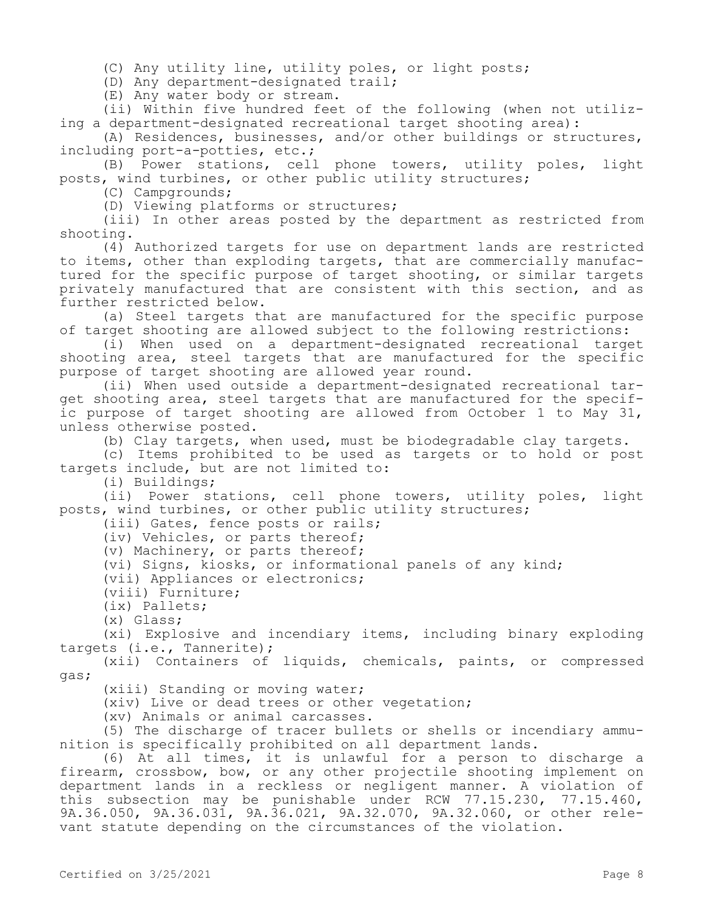(C) Any utility line, utility poles, or light posts;

(D) Any department-designated trail;

(E) Any water body or stream.

(ii) Within five hundred feet of the following (when not utilizing a department-designated recreational target shooting area):

(A) Residences, businesses, and/or other buildings or structures, including port-a-potties, etc.;

(B) Power stations, cell phone towers, utility poles, light posts, wind turbines, or other public utility structures;

(C) Campgrounds;

(D) Viewing platforms or structures;

(iii) In other areas posted by the department as restricted from shooting.

(4) Authorized targets for use on department lands are restricted to items, other than exploding targets, that are commercially manufactured for the specific purpose of target shooting, or similar targets privately manufactured that are consistent with this section, and as further restricted below.

(a) Steel targets that are manufactured for the specific purpose of target shooting are allowed subject to the following restrictions:

(i) When used on a department-designated recreational target shooting area, steel targets that are manufactured for the specific purpose of target shooting are allowed year round.

(ii) When used outside a department-designated recreational target shooting area, steel targets that are manufactured for the specific purpose of target shooting are allowed from October 1 to May 31, unless otherwise posted.

(b) Clay targets, when used, must be biodegradable clay targets.

(c) Items prohibited to be used as targets or to hold or post targets include, but are not limited to:

(i) Buildings;

(ii) Power stations, cell phone towers, utility poles, light posts, wind turbines, or other public utility structures;

(iii) Gates, fence posts or rails;

(iv) Vehicles, or parts thereof;

(v) Machinery, or parts thereof;

(vi) Signs, kiosks, or informational panels of any kind;

(vii) Appliances or electronics;

(viii) Furniture;

(ix) Pallets;

(x) Glass;

(xi) Explosive and incendiary items, including binary exploding targets (i.e., Tannerite);

(xii) Containers of liquids, chemicals, paints, or compressed gas;

(xiii) Standing or moving water;

(xiv) Live or dead trees or other vegetation;

(xv) Animals or animal carcasses.

(5) The discharge of tracer bullets or shells or incendiary ammunition is specifically prohibited on all department lands.

(6) At all times, it is unlawful for a person to discharge a firearm, crossbow, bow, or any other projectile shooting implement on department lands in a reckless or negligent manner. A violation of this subsection may be punishable under RCW 77.15.230, 77.15.460, 9A.36.050, 9A.36.031, 9A.36.021, 9A.32.070, 9A.32.060, or other relevant statute depending on the circumstances of the violation.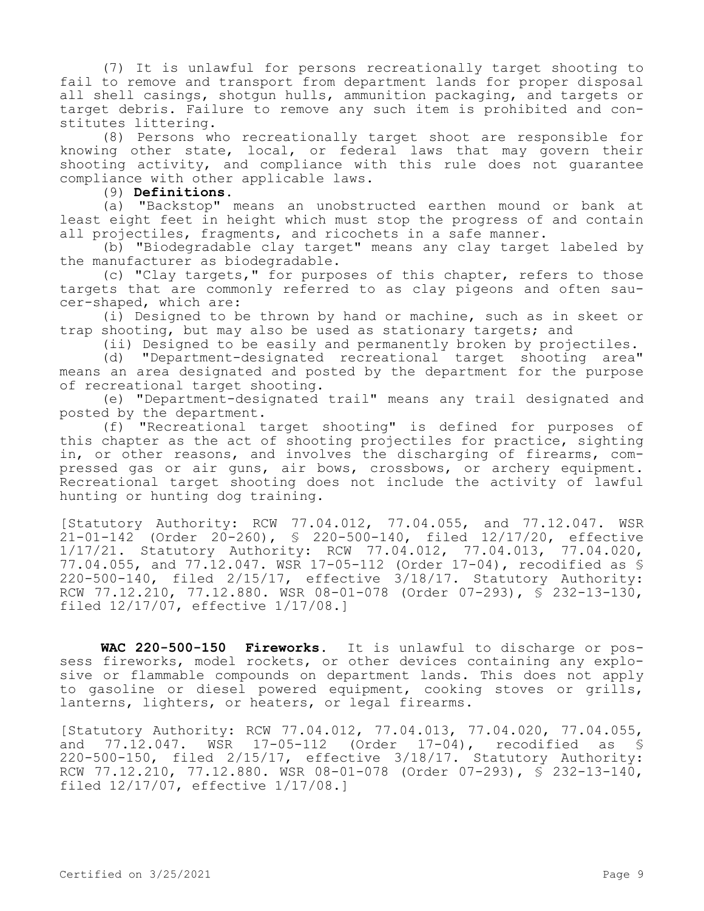(7) It is unlawful for persons recreationally target shooting to fail to remove and transport from department lands for proper disposal all shell casings, shotgun hulls, ammunition packaging, and targets or target debris. Failure to remove any such item is prohibited and constitutes littering.

(8) Persons who recreationally target shoot are responsible for knowing other state, local, or federal laws that may govern their shooting activity, and compliance with this rule does not guarantee compliance with other applicable laws.

(9) **Definitions.**

(a) "Backstop" means an unobstructed earthen mound or bank at least eight feet in height which must stop the progress of and contain all projectiles, fragments, and ricochets in a safe manner.

(b) "Biodegradable clay target" means any clay target labeled by the manufacturer as biodegradable.

(c) "Clay targets," for purposes of this chapter, refers to those targets that are commonly referred to as clay pigeons and often saucer-shaped, which are:

(i) Designed to be thrown by hand or machine, such as in skeet or trap shooting, but may also be used as stationary targets; and

(ii) Designed to be easily and permanently broken by projectiles.

(d) "Department-designated recreational target shooting area" means an area designated and posted by the department for the purpose of recreational target shooting.

(e) "Department-designated trail" means any trail designated and posted by the department.

(f) "Recreational target shooting" is defined for purposes of this chapter as the act of shooting projectiles for practice, sighting in, or other reasons, and involves the discharging of firearms, compressed gas or air guns, air bows, crossbows, or archery equipment. Recreational target shooting does not include the activity of lawful hunting or hunting dog training.

[Statutory Authority: RCW 77.04.012, 77.04.055, and 77.12.047. WSR 21-01-142 (Order 20-260), § 220-500-140, filed 12/17/20, effective 1/17/21. Statutory Authority: RCW 77.04.012, 77.04.013, 77.04.020, 77.04.055, and 77.12.047. WSR 17-05-112 (Order 17-04), recodified as § 220-500-140, filed 2/15/17, effective 3/18/17. Statutory Authority: RCW 77.12.210, 77.12.880. WSR 08-01-078 (Order 07-293), § 232-13-130, filed 12/17/07, effective 1/17/08.]

**WAC 220-500-150 Fireworks.** It is unlawful to discharge or possess fireworks, model rockets, or other devices containing any explosive or flammable compounds on department lands. This does not apply to gasoline or diesel powered equipment, cooking stoves or grills, lanterns, lighters, or heaters, or legal firearms.

[Statutory Authority: RCW 77.04.012, 77.04.013, 77.04.020, 77.04.055, and 77.12.047. WSR 17-05-112 (Order 17-04), recodified as § 220-500-150, filed 2/15/17, effective 3/18/17. Statutory Authority: RCW 77.12.210, 77.12.880. WSR 08-01-078 (Order 07-293), § 232-13-140, filed 12/17/07, effective 1/17/08.]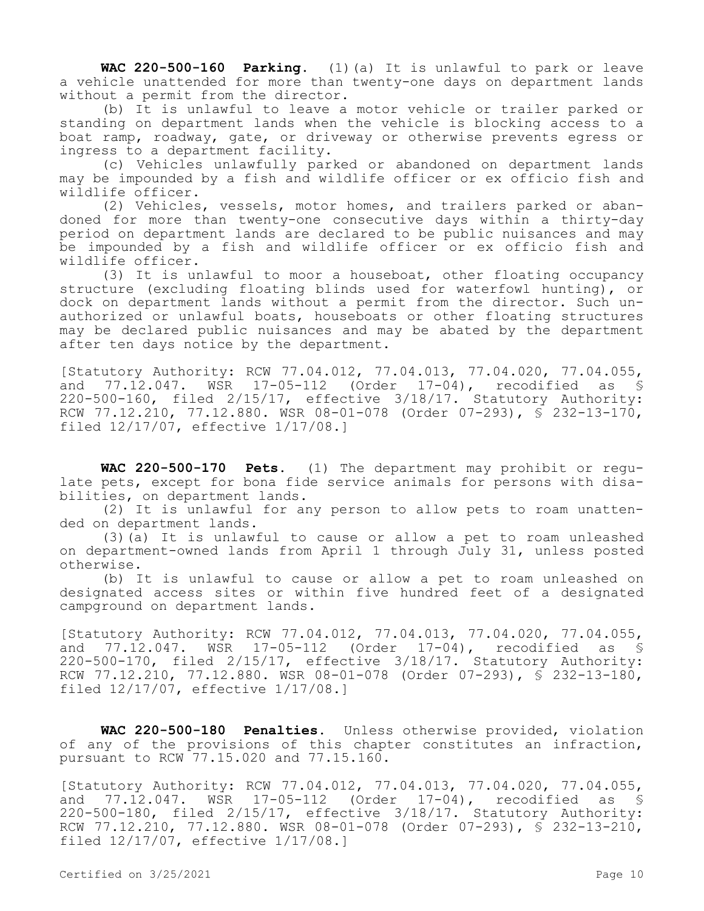**WAC 220-500-160 Parking.** (1)(a) It is unlawful to park or leave a vehicle unattended for more than twenty-one days on department lands without a permit from the director.

(b) It is unlawful to leave a motor vehicle or trailer parked or standing on department lands when the vehicle is blocking access to a boat ramp, roadway, gate, or driveway or otherwise prevents egress or ingress to a department facility.

(c) Vehicles unlawfully parked or abandoned on department lands may be impounded by a fish and wildlife officer or ex officio fish and wildlife officer.

(2) Vehicles, vessels, motor homes, and trailers parked or abandoned for more than twenty-one consecutive days within a thirty-day period on department lands are declared to be public nuisances and may be impounded by a fish and wildlife officer or ex officio fish and wildlife officer.

(3) It is unlawful to moor a houseboat, other floating occupancy structure (excluding floating blinds used for waterfowl hunting), or dock on department lands without a permit from the director. Such unauthorized or unlawful boats, houseboats or other floating structures may be declared public nuisances and may be abated by the department after ten days notice by the department.

[Statutory Authority: RCW 77.04.012, 77.04.013, 77.04.020, 77.04.055, and 77.12.047. WSR 17-05-112 (Order 17-04), recodified as § 220-500-160, filed 2/15/17, effective 3/18/17. Statutory Authority: RCW 77.12.210, 77.12.880. WSR 08-01-078 (Order 07-293), § 232-13-170, filed 12/17/07, effective 1/17/08.]

**WAC 220-500-170 Pets.** (1) The department may prohibit or regulate pets, except for bona fide service animals for persons with disabilities, on department lands.

(2) It is unlawful for any person to allow pets to roam unattended on department lands.

(3)(a) It is unlawful to cause or allow a pet to roam unleashed on department-owned lands from April 1 through July 31, unless posted otherwise.

(b) It is unlawful to cause or allow a pet to roam unleashed on designated access sites or within five hundred feet of a designated campground on department lands.

[Statutory Authority: RCW 77.04.012, 77.04.013, 77.04.020, 77.04.055, and 77.12.047. WSR 17-05-112 (Order 17-04), recodified as § 220-500-170, filed 2/15/17, effective 3/18/17. Statutory Authority: RCW 77.12.210, 77.12.880. WSR 08-01-078 (Order 07-293), § 232-13-180, filed 12/17/07, effective 1/17/08.]

**WAC 220-500-180 Penalties.** Unless otherwise provided, violation of any of the provisions of this chapter constitutes an infraction, pursuant to RCW 77.15.020 and 77.15.160.

[Statutory Authority: RCW 77.04.012, 77.04.013, 77.04.020, 77.04.055, and 77.12.047. WSR 17-05-112 (Order 17-04), recodified as § 220-500-180, filed 2/15/17, effective 3/18/17. Statutory Authority: RCW 77.12.210, 77.12.880. WSR 08-01-078 (Order 07-293), § 232-13-210, filed 12/17/07, effective 1/17/08.]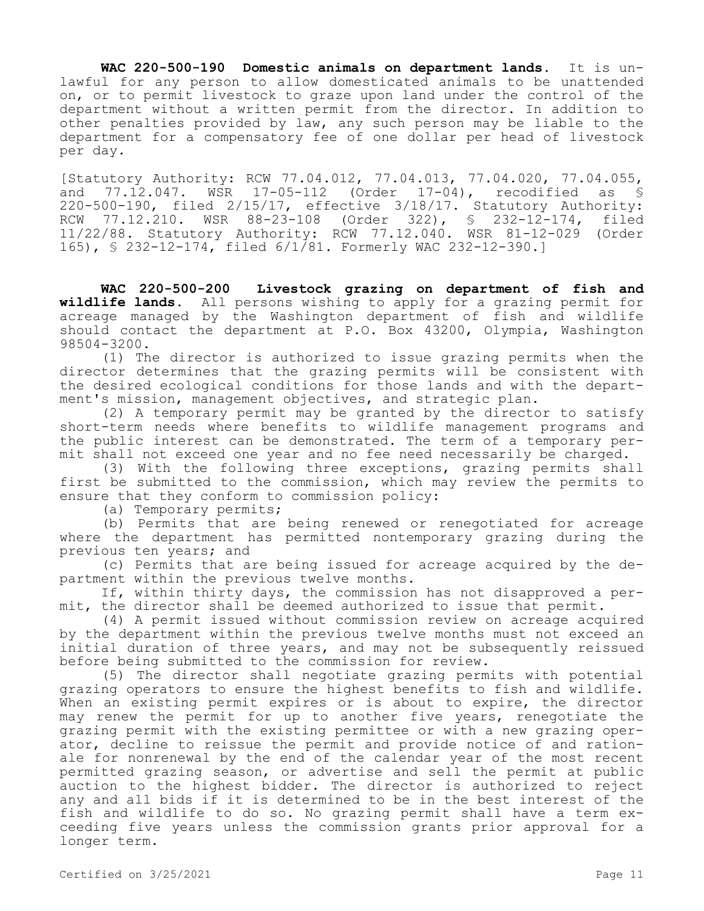**WAC 220-500-190 Domestic animals on department lands.** It is unlawful for any person to allow domesticated animals to be unattended on, or to permit livestock to graze upon land under the control of the department without a written permit from the director. In addition to other penalties provided by law, any such person may be liable to the department for a compensatory fee of one dollar per head of livestock per day.

[Statutory Authority: RCW 77.04.012, 77.04.013, 77.04.020, 77.04.055, and 77.12.047. WSR 17-05-112 (Order 17-04), recodified as § 220-500-190, filed 2/15/17, effective 3/18/17. Statutory Authority: RCW 77.12.210. WSR 88-23-108 (Order 322), § 232-12-174, filed 11/22/88. Statutory Authority: RCW 77.12.040. WSR 81-12-029 (Order 165), § 232-12-174, filed 6/1/81. Formerly WAC 232-12-390.]

**WAC 220-500-200 Livestock grazing on department of fish and wildlife lands.** All persons wishing to apply for a grazing permit for acreage managed by the Washington department of fish and wildlife should contact the department at P.O. Box 43200, Olympia, Washington 98504-3200.

(1) The director is authorized to issue grazing permits when the director determines that the grazing permits will be consistent with the desired ecological conditions for those lands and with the department's mission, management objectives, and strategic plan.

(2) A temporary permit may be granted by the director to satisfy short-term needs where benefits to wildlife management programs and the public interest can be demonstrated. The term of a temporary permit shall not exceed one year and no fee need necessarily be charged.

(3) With the following three exceptions, grazing permits shall first be submitted to the commission, which may review the permits to ensure that they conform to commission policy:

(a) Temporary permits;

(b) Permits that are being renewed or renegotiated for acreage where the department has permitted nontemporary grazing during the previous ten years; and

(c) Permits that are being issued for acreage acquired by the department within the previous twelve months.

If, within thirty days, the commission has not disapproved a permit, the director shall be deemed authorized to issue that permit.

(4) A permit issued without commission review on acreage acquired by the department within the previous twelve months must not exceed an initial duration of three years, and may not be subsequently reissued before being submitted to the commission for review.

(5) The director shall negotiate grazing permits with potential grazing operators to ensure the highest benefits to fish and wildlife. When an existing permit expires or is about to expire, the director may renew the permit for up to another five years, renegotiate the grazing permit with the existing permittee or with a new grazing operator, decline to reissue the permit and provide notice of and rationale for nonrenewal by the end of the calendar year of the most recent permitted grazing season, or advertise and sell the permit at public auction to the highest bidder. The director is authorized to reject any and all bids if it is determined to be in the best interest of the fish and wildlife to do so. No grazing permit shall have a term exceeding five years unless the commission grants prior approval for a longer term.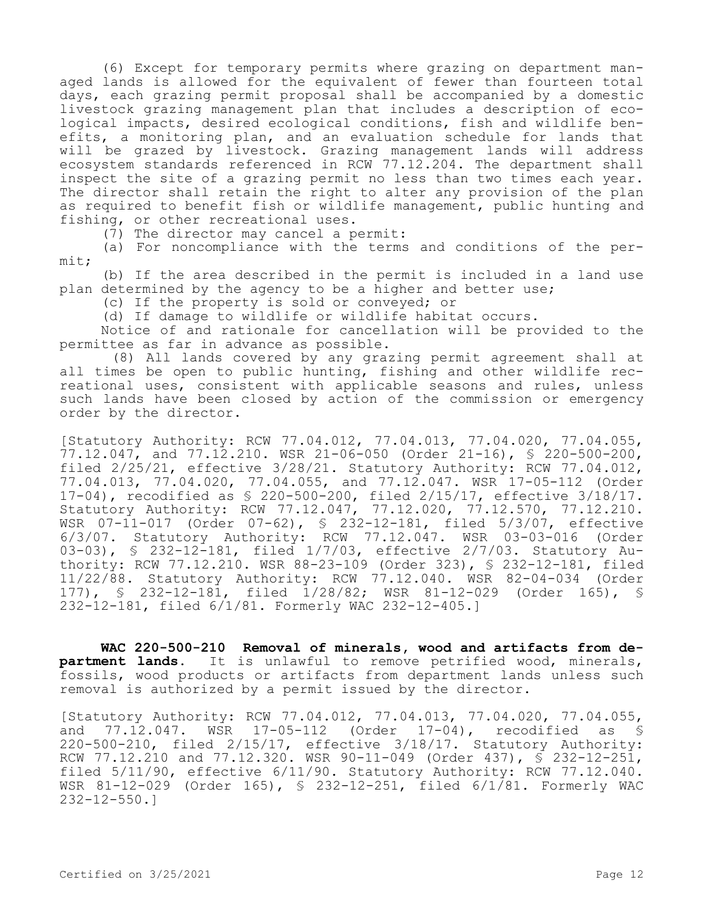(6) Except for temporary permits where grazing on department managed lands is allowed for the equivalent of fewer than fourteen total days, each grazing permit proposal shall be accompanied by a domestic livestock grazing management plan that includes a description of ecological impacts, desired ecological conditions, fish and wildlife benefits, a monitoring plan, and an evaluation schedule for lands that will be grazed by livestock. Grazing management lands will address ecosystem standards referenced in RCW 77.12.204. The department shall inspect the site of a grazing permit no less than two times each year. The director shall retain the right to alter any provision of the plan as required to benefit fish or wildlife management, public hunting and fishing, or other recreational uses.

(7) The director may cancel a permit:

(a) For noncompliance with the terms and conditions of the permit;

(b) If the area described in the permit is included in a land use plan determined by the agency to be a higher and better use;

(c) If the property is sold or conveyed; or

(d) If damage to wildlife or wildlife habitat occurs.

Notice of and rationale for cancellation will be provided to the permittee as far in advance as possible.

(8) All lands covered by any grazing permit agreement shall at all times be open to public hunting, fishing and other wildlife recreational uses, consistent with applicable seasons and rules, unless such lands have been closed by action of the commission or emergency order by the director.

[Statutory Authority: RCW 77.04.012, 77.04.013, 77.04.020, 77.04.055, 77.12.047, and 77.12.210. WSR 21-06-050 (Order 21-16), § 220-500-200, filed 2/25/21, effective 3/28/21. Statutory Authority: RCW 77.04.012, 77.04.013, 77.04.020, 77.04.055, and 77.12.047. WSR 17-05-112 (Order 17-04), recodified as § 220-500-200, filed 2/15/17, effective 3/18/17. Statutory Authority: RCW 77.12.047, 77.12.020, 77.12.570, 77.12.210. WSR 07-11-017 (Order 07-62), § 232-12-181, filed 5/3/07, effective 6/3/07. Statutory Authority: RCW 77.12.047. WSR 03-03-016 (Order 03-03), § 232-12-181, filed 1/7/03, effective 2/7/03. Statutory Authority: RCW 77.12.210. WSR 88-23-109 (Order 323), § 232-12-181, filed 11/22/88. Statutory Authority: RCW 77.12.040. WSR 82-04-034 (Order 177), § 232-12-181, filed 1/28/82; WSR 81-12-029 (Order 165), § 232-12-181, filed 6/1/81. Formerly WAC 232-12-405.]

**WAC 220-500-210 Removal of minerals, wood and artifacts from department lands.** It is unlawful to remove petrified wood, minerals, fossils, wood products or artifacts from department lands unless such removal is authorized by a permit issued by the director.

[Statutory Authority: RCW 77.04.012, 77.04.013, 77.04.020, 77.04.055, and 77.12.047. WSR 17-05-112 (Order 17-04), recodified as § 220-500-210, filed 2/15/17, effective 3/18/17. Statutory Authority: RCW 77.12.210 and 77.12.320. WSR 90-11-049 (Order 437), § 232-12-251, filed 5/11/90, effective 6/11/90. Statutory Authority: RCW 77.12.040. WSR 81-12-029 (Order 165), § 232-12-251, filed 6/1/81. Formerly WAC 232-12-550.]